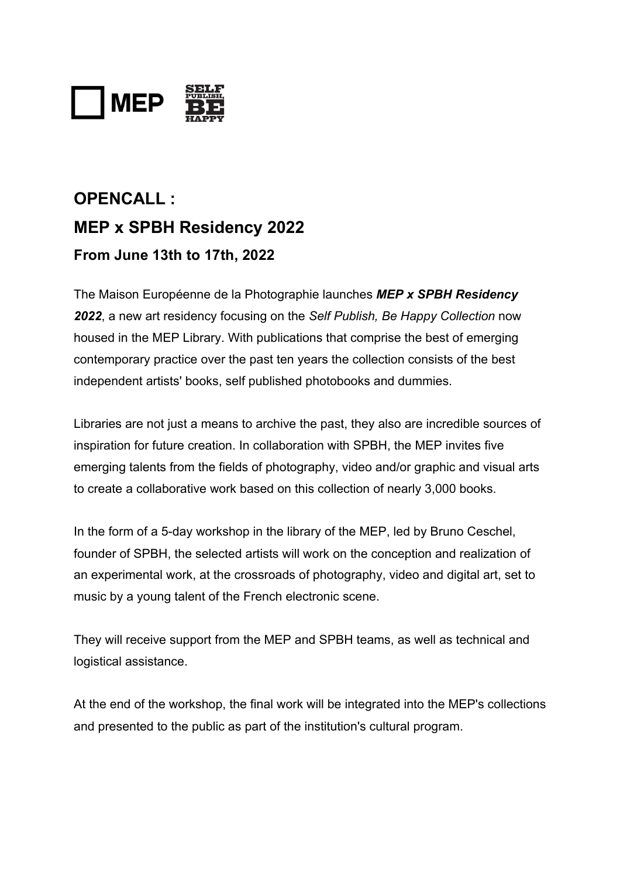

# **OPENCALL : MEP x SPBH Residency 2022 From June 13th to 17th, 2022**

The Maison Européenne de la Photographie launches *MEP x SPBH Residency 2022*, a new art residency focusing on the *Self Publish, Be Happy Collection* now housed in the MEP Library. With publications that comprise the best of emerging contemporary practice over the past ten years the collection consists of the best independent artists' books, self published photobooks and dummies.

Libraries are not just a means to archive the past, they also are incredible sources of inspiration for future creation. In collaboration with SPBH, the MEP invites five emerging talents from the fields of photography, video and/or graphic and visual arts to create a collaborative work based on this collection of nearly 3,000 books.

In the form of a 5-day workshop in the library of the MEP, led by Bruno Ceschel, founder of SPBH, the selected artists will work on the conception and realization of an experimental work, at the crossroads of photography, video and digital art, set to music by a young talent of the French electronic scene.

They will receive support from the MEP and SPBH teams, as well as technical and logistical assistance.

At the end of the workshop, the final work will be integrated into the MEP's collections and presented to the public as part of the institution's cultural program.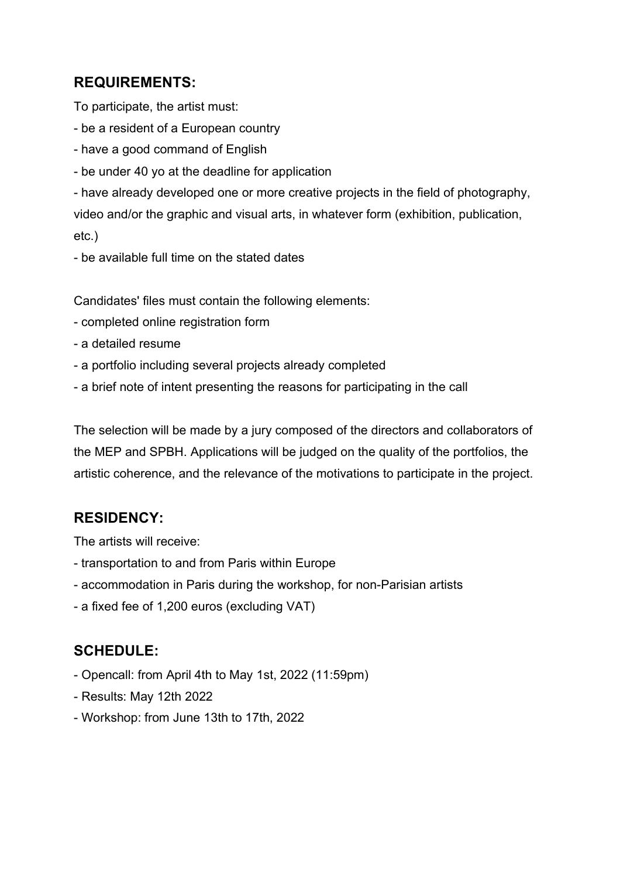## **REQUIREMENTS:**

To participate, the artist must:

- be a resident of a European country
- have a good command of English
- be under 40 yo at the deadline for application

- have already developed one or more creative projects in the field of photography, video and/or the graphic and visual arts, in whatever form (exhibition, publication, etc.)

- be available full time on the stated dates

Candidates' files must contain the following elements:

- completed online registration form
- a detailed resume
- a portfolio including several projects already completed
- a brief note of intent presenting the reasons for participating in the call

The selection will be made by a jury composed of the directors and collaborators of the MEP and SPBH. Applications will be judged on the quality of the portfolios, the artistic coherence, and the relevance of the motivations to participate in the project.

# **RESIDENCY:**

The artists will receive:

- transportation to and from Paris within Europe
- accommodation in Paris during the workshop, for non-Parisian artists
- a fixed fee of 1,200 euros (excluding VAT)

## **SCHEDULE:**

- Opencall: from April 4th to May 1st, 2022 (11:59pm)
- Results: May 12th 2022
- Workshop: from June 13th to 17th, 2022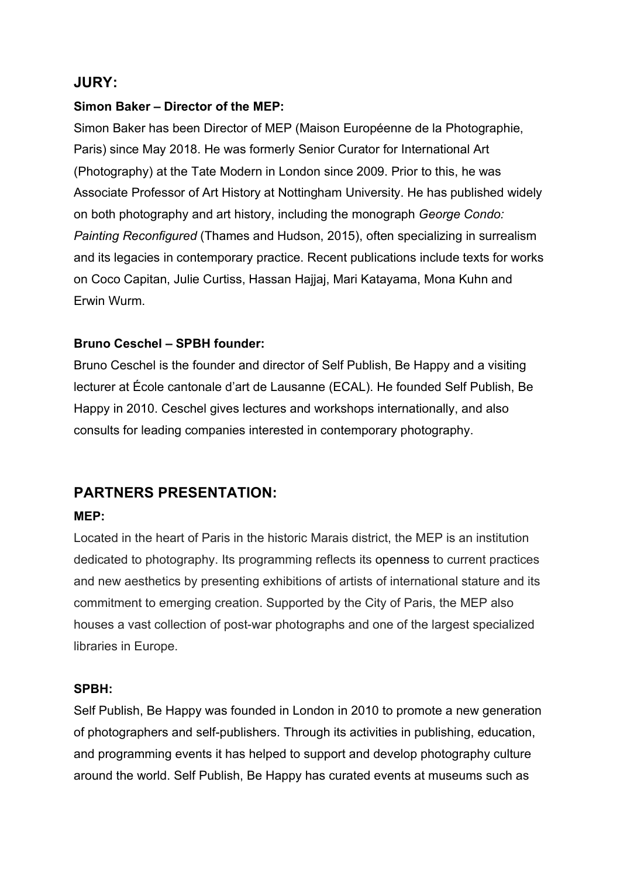### **JURY:**

#### **Simon Baker – Director of the MEP:**

Simon Baker has been Director of MEP (Maison Européenne de la Photographie, Paris) since May 2018. He was formerly Senior Curator for International Art (Photography) at the Tate Modern in London since 2009. Prior to this, he was Associate Professor of Art History at Nottingham University. He has published widely on both photography and art history, including the monograph *George Condo: Painting Reconfigured* (Thames and Hudson, 2015), often specializing in surrealism and its legacies in contemporary practice. Recent publications include texts for works on Coco Capitan, Julie Curtiss, Hassan Hajjaj, Mari Katayama, Mona Kuhn and Erwin Wurm.

#### **Bruno Ceschel – SPBH founder:**

Bruno Ceschel is the founder and director of Self Publish, Be Happy and a visiting lecturer at École cantonale d'art de Lausanne (ECAL). He founded Self Publish, Be Happy in 2010. Ceschel gives lectures and workshops internationally, and also consults for leading companies interested in contemporary photography.

## **PARTNERS PRESENTATION:**

#### **MEP:**

Located in the heart of Paris in the historic Marais district, the MEP is an institution dedicated to photography. Its programming reflects its openness to current practices and new aesthetics by presenting exhibitions of artists of international stature and its commitment to emerging creation. Supported by the City of Paris, the MEP also houses a vast collection of post-war photographs and one of the largest specialized libraries in Europe.

#### **SPBH:**

Self Publish, Be Happy was founded in London in 2010 to promote a new generation of photographers and self-publishers. Through its activities in publishing, education, and programming events it has helped to support and develop photography culture around the world. Self Publish, Be Happy has curated events at museums such as